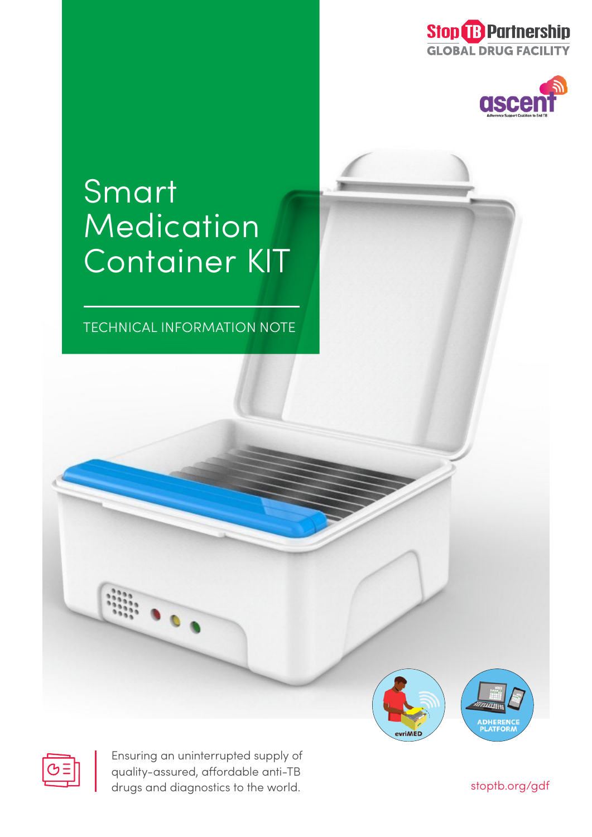



# Smart Medication Container KIT

TECHNICAL INFORMATION NOTE





Ensuring an uninterrupted supply of quality-assured, affordable anti-TB drugs and diagnostics to the world.

stoptb.org/gdf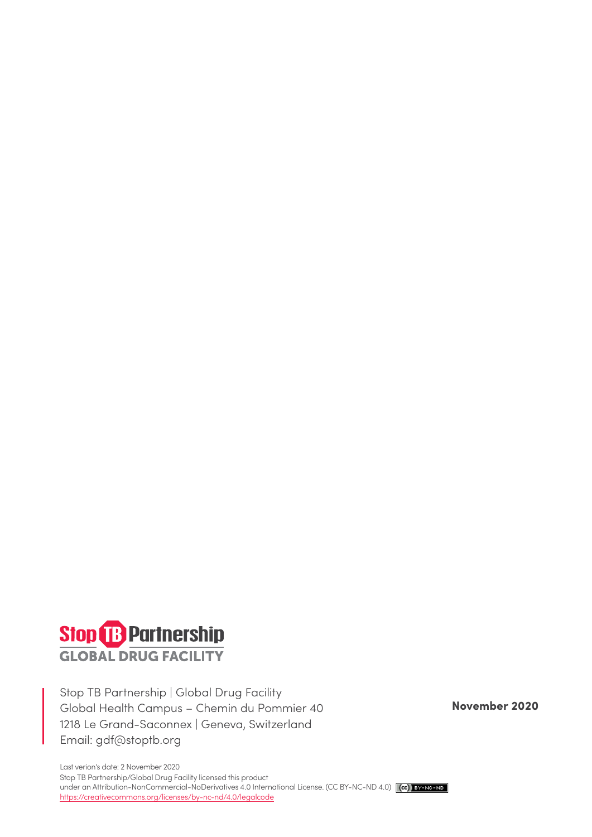

Stop TB Partnership | Global Drug Facility Global Health Campus – Chemin du Pommier 40 1218 Le Grand-Saconnex | Geneva, Switzerland Email: gdf@stoptb.org

**November 2020**

Last verion's date: 2 November 2020 Stop TB Partnership/Global Drug Facility licensed this product under an Attribution-NonCommercial-NoDerivatives 4.0 International License. (CC BY-NC-ND 4.0) (cc) BY-NO-ND https://creativecommons.org/licenses/by-nc-nd/4.0/legalcode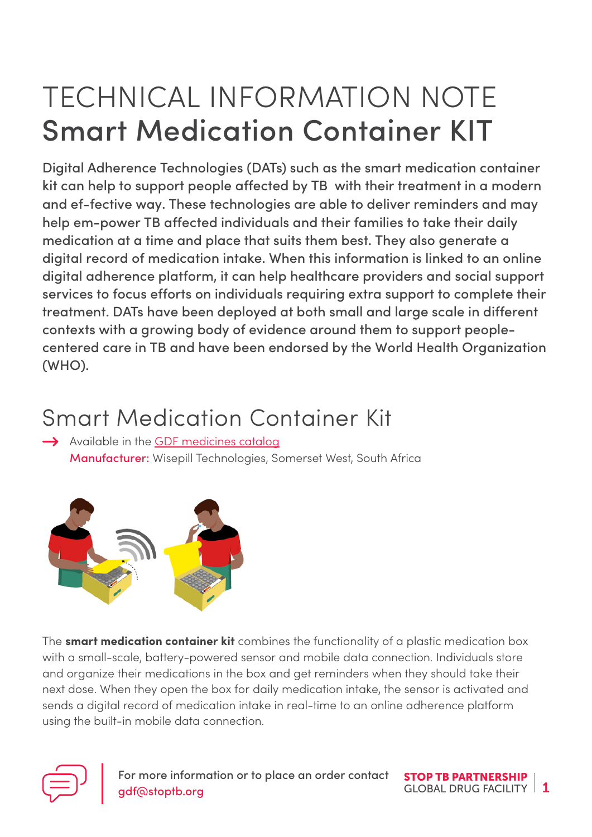## TECHNICAL INFORMATION NOTE Smart Medication Container KIT

Digital Adherence Technologies (DATs) such as the smart medication container kit can help to support people affected by TB with their treatment in a modern and ef-fective way. These technologies are able to deliver reminders and may help em-power TB affected individuals and their families to take their daily medication at a time and place that suits them best. They also generate a digital record of medication intake. When this information is linked to an online digital adherence platform, it can help healthcare providers and social support services to focus efforts on individuals requiring extra support to complete their treatment. DATs have been deployed at both small and large scale in different contexts with a growing body of evidence around them to support peoplecentered care in TB and have been endorsed by the World Health Organization (WHO).

#### Smart Medication Container Kit

 $\rightarrow$  Available in the [GDF medicines catalog](http://stoptb.org/assets/documents/gdf/drugsupply/GDFMedicinesCatalog.pdf) Manufacturer: Wisepill Technologies, Somerset West, South Africa



The **smart medication container kit** combines the functionality of a plastic medication box with a small-scale, battery-powered sensor and mobile data connection. Individuals store and organize their medications in the box and get reminders when they should take their next dose. When they open the box for daily medication intake, the sensor is activated and sends a digital record of medication intake in real-time to an online adherence platform using the built-in mobile data connection.



For more information or to place an order contact **STOP TB PARTNERSHIP** gdf@stoptb.org

GLOBAL DRUG FACILITY  $\vert 1$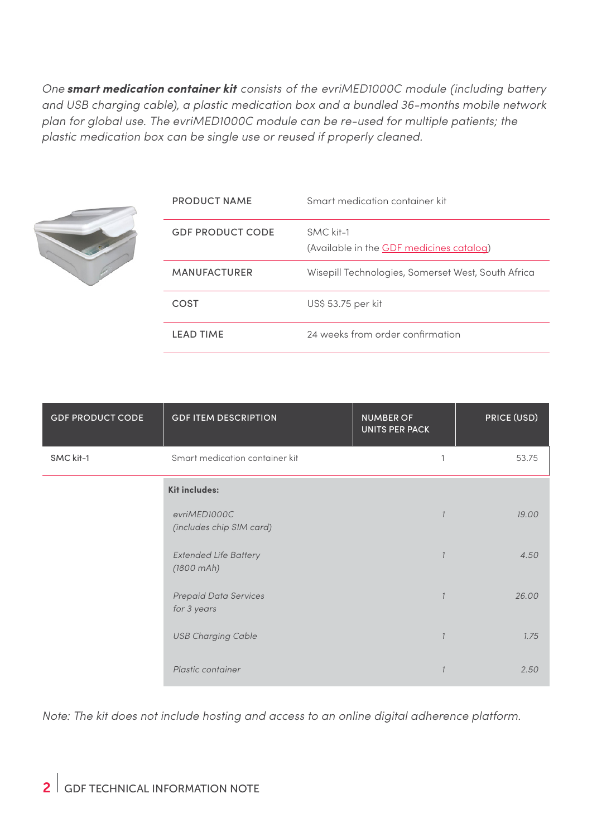*One* **smart medication container kit** *consists of the evriMED1000C module (including battery and USB charging cable), a plastic medication box and a bundled 36-months mobile network plan for global use. The evriMED1000C module can be re-used for multiple patients; the plastic medication box can be single use or reused if properly cleaned.*



| <b>PRODUCT NAME</b>     | Smart medication container kit                        |
|-------------------------|-------------------------------------------------------|
| <b>GDF PRODUCT CODE</b> | SMC kit-1<br>(Available in the GDF medicines catalog) |
| <b>MANUFACTURER</b>     | Wisepill Technologies, Somerset West, South Africa    |
| COST                    | US\$ 53.75 per kit                                    |
| <b>LEAD TIME</b>        | 24 weeks from order confirmation                      |

| <b>GDF PRODUCT CODE</b> | <b>GDF ITEM DESCRIPTION</b>                         | <b>NUMBER OF</b><br><b>UNITS PER PACK</b> | PRICE (USD) |
|-------------------------|-----------------------------------------------------|-------------------------------------------|-------------|
| SMC kit-1               | Smart medication container kit                      | 1                                         | 53.75       |
|                         | <b>Kit includes:</b>                                |                                           |             |
|                         | evriMED1000C<br>(includes chip SIM card)            |                                           | 19.00       |
|                         | <b>Extended Life Battery</b><br>$(1800 \text{ mA})$ |                                           | 4.50        |
|                         | <b>Prepaid Data Services</b><br>for 3 years         |                                           | 26.00       |
|                         | <b>USB Charging Cable</b>                           |                                           | 1.75        |
|                         | Plastic container                                   |                                           | 2.50        |

*Note: The kit does not include hosting and access to an online digital adherence platform.*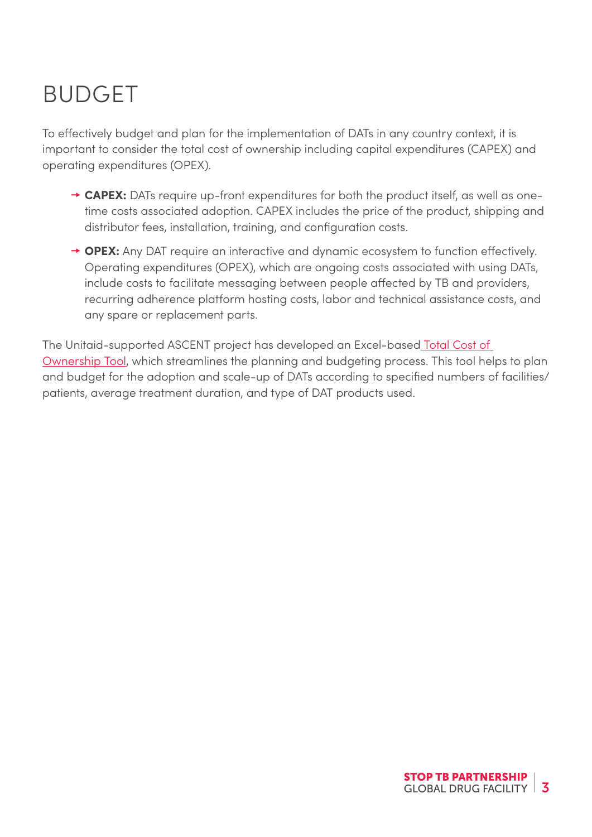### BUDGET

To effectively budget and plan for the implementation of DATs in any country context, it is important to consider the total cost of ownership including capital expenditures (CAPEX) and operating expenditures (OPEX).

- $\rightarrow$  **CAPEX:** DATs require up-front expenditures for both the product itself, as well as onetime costs associated adoption. CAPEX includes the price of the product, shipping and distributor fees, installation, training, and configuration costs.
- → OPEX: Any DAT require an interactive and dynamic ecosystem to function effectively. Operating expenditures (OPEX), which are ongoing costs associated with using DATs, include costs to facilitate messaging between people affected by TB and providers, recurring adherence platform hosting costs, labor and technical assistance costs, and any spare or replacement parts.

The Unitaid-supported ASCENT project has developed an Excel-base[d Total Cost of](http://www.digitaladherence.org/tco/)  [Ownership Tool,](http://www.digitaladherence.org/tco/) which streamlines the planning and budgeting process. This tool helps to plan and budget for the adoption and scale-up of DATs according to specified numbers of facilities/ patients, average treatment duration, and type of DAT products used.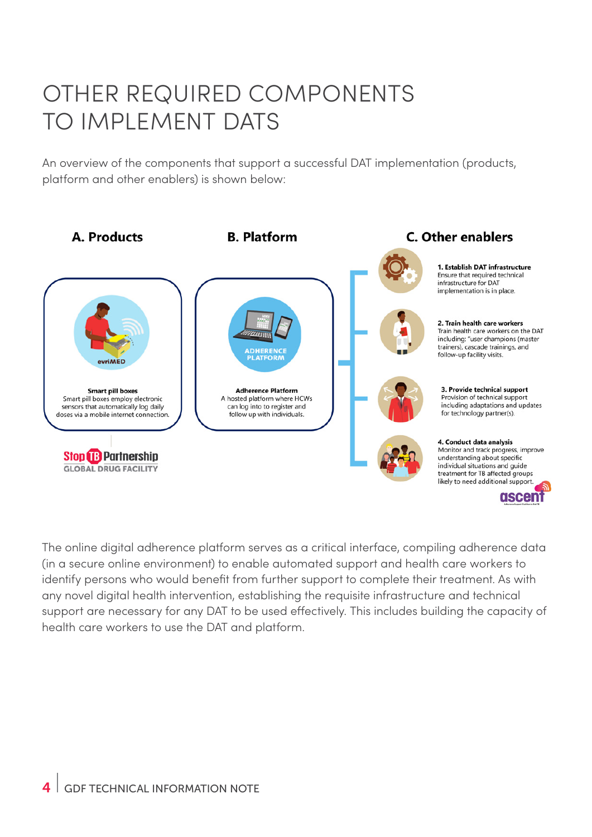#### OTHER REQUIRED COMPONENTS TO IMPLEMENT DATS

An overview of the components that support a successful DAT implementation (products, platform and other enablers) is shown below:



The online digital adherence platform serves as a critical interface, compiling adherence data (in a secure online environment) to enable automated support and health care workers to identify persons who would benefit from further support to complete their treatment. As with any novel digital health intervention, establishing the requisite infrastructure and technical support are necessary for any DAT to be used effectively. This includes building the capacity of health care workers to use the DAT and platform.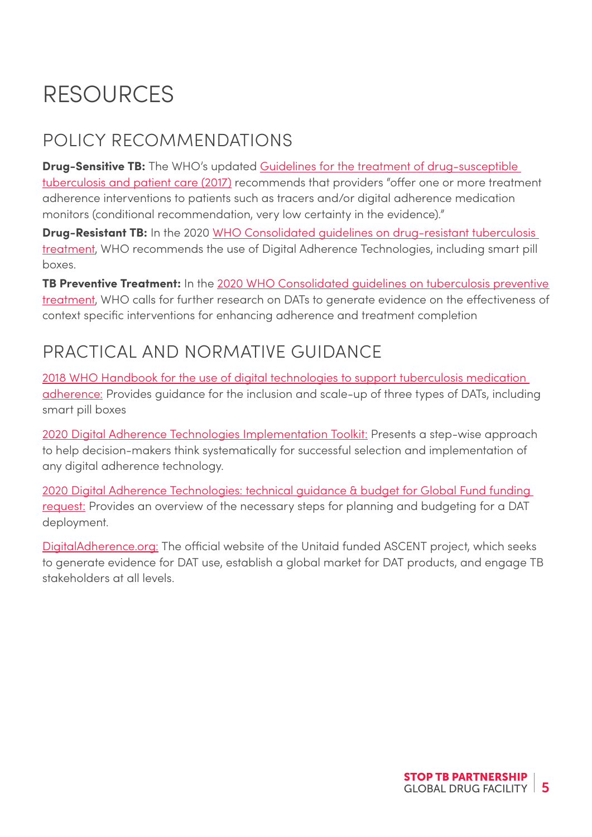## RESOURCES

#### POLICY RECOMMENDATIONS

**Drug-Sensitive TB:** The WHO's updated Guidelines for the treatment of drug-susceptible [tuberculosis and patient care \(2017\)](https://www.who.int/tb/publications/2017/dstb_guidance_2017/en/) recommends that providers "offer one or more treatment adherence interventions to patients such as tracers and/or digital adherence medication monitors (conditional recommendation, very low certainty in the evidence)."

**Drug-Resistant TB:** In the 2020 WHO Consolidated guidelines on drug-resistant tuberculosis [treatment](https://apps.who.int/iris/bitstream/handle/10665/311389/9789241550529-eng.pdf?ua=1), WHO recommends the use of Digital Adherence Technologies, including smart pill boxes.

**TB Preventive Treatment:** In the 2020 WHO Consolidated guidelines on tuberculosis preventive [treatment](https://www.who.int/publications/i/item/who-consolidated-guidelines-on-tuberculosis-module-1-prevention-tuberculosis-preventive-treatment), WHO calls for further research on DATs to generate evidence on the effectiveness of context specific interventions for enhancing adherence and treatment completion

#### PRACTICAL AND NORMATIVE GUIDANCE

[2018 WHO Handbook for the use of digital technologies to support tuberculosis medication](https://www.who.int/tb/publications/2018/TB_medication_adherence_handbook_2018/en/)  [adherence:](https://www.who.int/tb/publications/2018/TB_medication_adherence_handbook_2018/en/) Provides guidance for the inclusion and scale-up of three types of DATs, including smart pill boxes

[2020 Digital Adherence Technologies Implementation Toolkit:](https://kncvtbc.atlassian.net/wiki/spaces/ADHERENCE/pages/222494774/Digital+Adherence+Technologies) Presents a step-wise approach to help decision-makers think systematically for successful selection and implementation of any digital adherence technology.

[2020 Digital Adherence Technologies: technical guidance & budget for Global Fund funding](https://www.digitaladherence.org/wp-content/uploads/2020/07/Digital-adherence-technologies-Technical-Guidance-1.0.pdf)  [request:](https://www.digitaladherence.org/wp-content/uploads/2020/07/Digital-adherence-technologies-Technical-Guidance-1.0.pdf) Provides an overview of the necessary steps for planning and budgeting for a DAT deployment.

[DigitalAdherence.org:](https://www.digitaladherence.org/) The official website of the Unitaid funded ASCENT project, which seeks to generate evidence for DAT use, establish a global market for DAT products, and engage TB stakeholders at all levels.